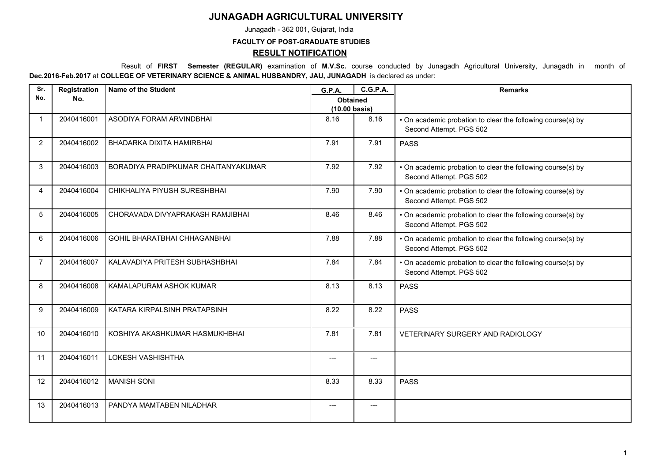## **JUNAGADH AGRICULTURAL UNIVERSITY**

Junagadh - 362 001, Gujarat, India

## **FACULTY OF POST-GRADUATE STUDIES RESULT NOTIFICATION**

 Result of **FIRST Semester (REGULAR)** examination of **M.V.Sc.** course conducted by Junagadh Agricultural University, Junagadh in month of **Dec.2016-Feb.2017** at **COLLEGE OF VETERINARY SCIENCE & ANIMAL HUSBANDRY, JAU, JUNAGADH** is declared as under:

| Sr.            | Registration | <b>Name of the Student</b>          | G.P.A.                                     | <b>C.G.P.A.</b> | <b>Remarks</b>                                                                         |
|----------------|--------------|-------------------------------------|--------------------------------------------|-----------------|----------------------------------------------------------------------------------------|
| No.            | No.          |                                     | <b>Obtained</b><br>$(10.00 \text{ basis})$ |                 |                                                                                        |
| $\overline{1}$ | 2040416001   | ASODIYA FORAM ARVINDBHAI            | 8.16                                       | 8.16            | • On academic probation to clear the following course(s) by<br>Second Attempt. PGS 502 |
| 2              | 2040416002   | BHADARKA DIXITA HAMIRBHAI           | 7.91                                       | 7.91            | <b>PASS</b>                                                                            |
| 3              | 2040416003   | BORADIYA PRADIPKUMAR CHAITANYAKUMAR | 7.92                                       | 7.92            | • On academic probation to clear the following course(s) by<br>Second Attempt. PGS 502 |
| 4              | 2040416004   | CHIKHALIYA PIYUSH SURESHBHAI        | 7.90                                       | 7.90            | • On academic probation to clear the following course(s) by<br>Second Attempt. PGS 502 |
| 5              | 2040416005   | CHORAVADA DIVYAPRAKASH RAMJIBHAI    | 8.46                                       | 8.46            | • On academic probation to clear the following course(s) by<br>Second Attempt. PGS 502 |
| 6              | 2040416006   | <b>GOHIL BHARATBHAI CHHAGANBHAI</b> | 7.88                                       | 7.88            | . On academic probation to clear the following course(s) by<br>Second Attempt. PGS 502 |
| $\overline{7}$ | 2040416007   | KALAVADIYA PRITESH SUBHASHBHAI      | 7.84                                       | 7.84            | • On academic probation to clear the following course(s) by<br>Second Attempt. PGS 502 |
| 8              | 2040416008   | KAMALAPURAM ASHOK KUMAR             | 8.13                                       | 8.13            | <b>PASS</b>                                                                            |
| 9              | 2040416009   | KATARA KIRPALSINH PRATAPSINH        | 8.22                                       | 8.22            | <b>PASS</b>                                                                            |
| 10             | 2040416010   | KOSHIYA AKASHKUMAR HASMUKHBHAI      | 7.81                                       | 7.81            | VETERINARY SURGERY AND RADIOLOGY                                                       |
| 11             | 2040416011   | LOKESH VASHISHTHA                   | ---                                        | $---$           |                                                                                        |
| 12             | 2040416012   | <b>MANISH SONI</b>                  | 8.33                                       | 8.33            | <b>PASS</b>                                                                            |
| 13             | 2040416013   | PANDYA MAMTABEN NILADHAR            | ---                                        | $---$           |                                                                                        |